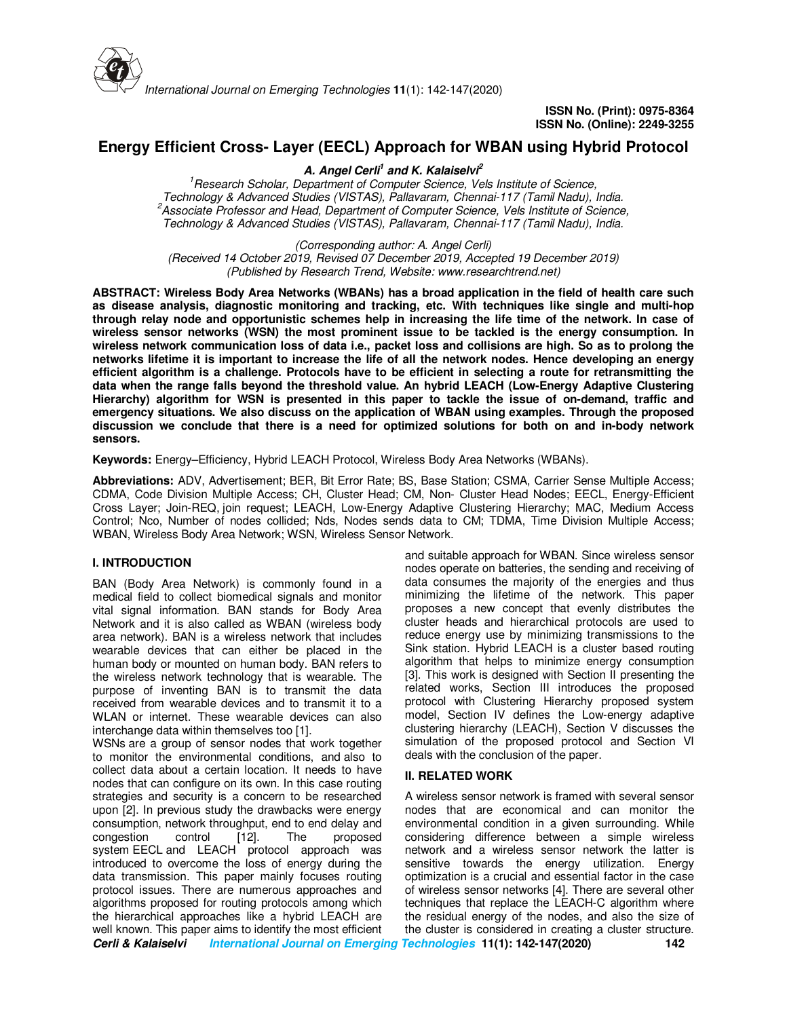

# **Energy Efficient Cross- Layer (EECL) Approach for WBAN using Hybrid Protocol**

**A. Angel Cerli<sup>1</sup> and K. Kalaiselvi<sup>2</sup>**

*<sup>1</sup>Research Scholar, Department of Computer Science, Vels Institute of Science, Technology & Advanced Studies (VISTAS), Pallavaram, Chennai-117 (Tamil Nadu), India. <sup>2</sup>Associate Professor and Head, Department of Computer Science, Vels Institute of Science, Technology & Advanced Studies (VISTAS), Pallavaram, Chennai-117 (Tamil Nadu), India.* 

*(Corresponding author: A. Angel Cerli) (Received 14 October 2019, Revised 07 December 2019, Accepted 19 December 2019) (Published by Research Trend, Website: www.researchtrend.net)* 

**ABSTRACT: Wireless Body Area Networks (WBANs) has a broad application in the field of health care such as disease analysis, diagnostic monitoring and tracking, etc. With techniques like single and multi-hop through relay node and opportunistic schemes help in increasing the life time of the network. In case of wireless sensor networks (WSN) the most prominent issue to be tackled is the energy consumption. In wireless network communication loss of data i.e., packet loss and collisions are high. So as to prolong the networks lifetime it is important to increase the life of all the network nodes. Hence developing an energy efficient algorithm is a challenge. Protocols have to be efficient in selecting a route for retransmitting the data when the range falls beyond the threshold value. An hybrid LEACH (Low-Energy Adaptive Clustering Hierarchy) algorithm for WSN is presented in this paper to tackle the issue of on-demand, traffic and emergency situations. We also discuss on the application of WBAN using examples. Through the proposed discussion we conclude that there is a need for optimized solutions for both on and in-body network sensors.** 

**Keywords:** Energy–Efficiency, Hybrid LEACH Protocol, Wireless Body Area Networks (WBANs).

**Abbreviations:** ADV, Advertisement; BER, Bit Error Rate; BS, Base Station; CSMA, Carrier Sense Multiple Access; CDMA, Code Division Multiple Access; CH, Cluster Head; CM, Non- Cluster Head Nodes; EECL, Energy-Efficient Cross Layer; Join-REQ, join request; LEACH, Low-Energy Adaptive Clustering Hierarchy; MAC, Medium Access Control; Nco, Number of nodes collided; Nds, Nodes sends data to CM; TDMA, Time Division Multiple Access; WBAN, Wireless Body Area Network; WSN, Wireless Sensor Network.

### **I. INTRODUCTION**

BAN (Body Area Network) is commonly found in a medical field to collect biomedical signals and monitor vital signal information. BAN stands for Body Area Network and it is also called as WBAN (wireless body area network). BAN is a wireless network that includes wearable devices that can either be placed in the human body or mounted on human body. BAN refers to the wireless network technology that is wearable. The purpose of inventing BAN is to transmit the data received from wearable devices and to transmit it to a WLAN or internet. These wearable devices can also interchange data within themselves too [1].

**Cerli & Kalaiselvi International Journal on Emerging Technologies 11(1): 142-147(2020) 142** WSNs are a group of sensor nodes that work together to monitor the environmental conditions, and also to collect data about a certain location. It needs to have nodes that can configure on its own. In this case routing strategies and security is a concern to be researched upon [2]. In previous study the drawbacks were energy consumption, network throughput, end to end delay and congestion control [12]. The proposed system EECL and LEACH protocol approach was introduced to overcome the loss of energy during the data transmission. This paper mainly focuses routing protocol issues. There are numerous approaches and algorithms proposed for routing protocols among which the hierarchical approaches like a hybrid LEACH are well known. This paper aims to identify the most efficient

and suitable approach for WBAN. Since wireless sensor nodes operate on batteries, the sending and receiving of data consumes the majority of the energies and thus minimizing the lifetime of the network. This paper proposes a new concept that evenly distributes the cluster heads and hierarchical protocols are used to reduce energy use by minimizing transmissions to the Sink station. Hybrid LEACH is a cluster based routing algorithm that helps to minimize energy consumption [3]. This work is designed with Section II presenting the related works, Section III introduces the proposed protocol with Clustering Hierarchy proposed system model, Section IV defines the Low-energy adaptive clustering hierarchy (LEACH), Section V discusses the simulation of the proposed protocol and Section VI deals with the conclusion of the paper.

### **II. RELATED WORK**

A wireless sensor network is framed with several sensor nodes that are economical and can monitor the environmental condition in a given surrounding. While considering difference between a simple wireless network and a wireless sensor network the latter is sensitive towards the energy utilization. Energy optimization is a crucial and essential factor in the case of wireless sensor networks [4]. There are several other techniques that replace the LEACH-C algorithm where the residual energy of the nodes, and also the size of the cluster is considered in creating a cluster structure.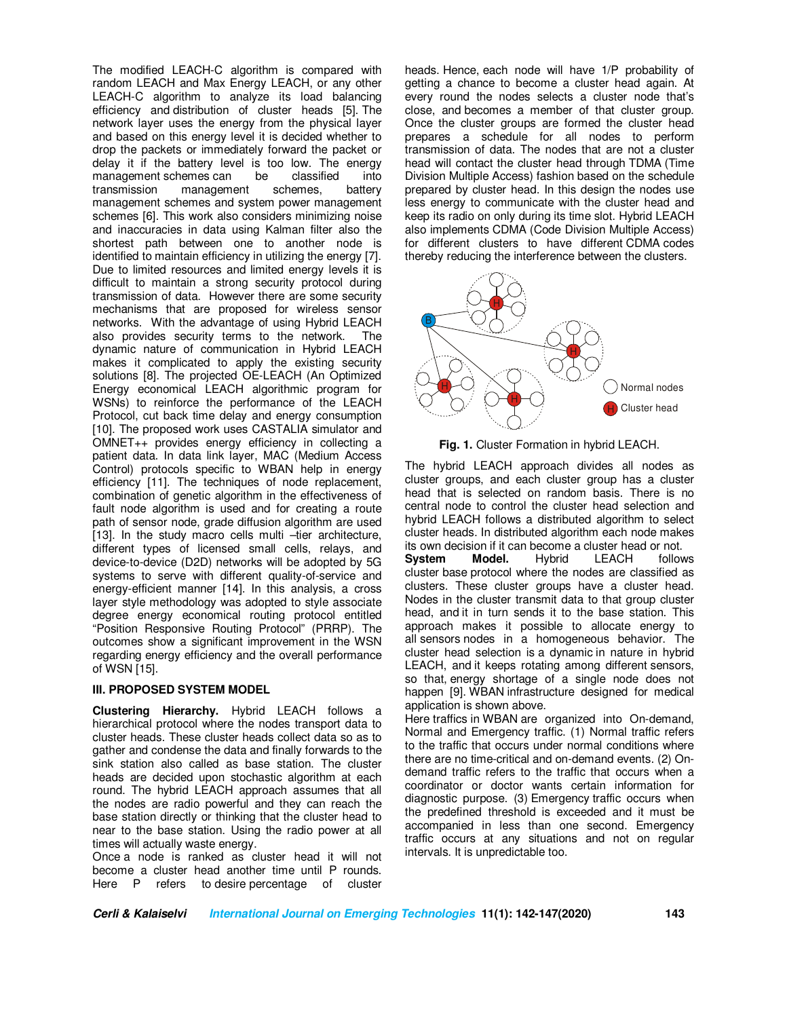The modified LEACH-C algorithm is compared with random LEACH and Max Energy LEACH, or any other LEACH-C algorithm to analyze its load balancing efficiency and distribution of cluster heads [5]. The network layer uses the energy from the physical layer and based on this energy level it is decided whether to drop the packets or immediately forward the packet or delay it if the battery level is too low. The energy<br>management schemes can be classified into management schemes can transmission management schemes, battery management schemes and system power management schemes [6]. This work also considers minimizing noise and inaccuracies in data using Kalman filter also the shortest path between one to another node is identified to maintain efficiency in utilizing the energy [7]. Due to limited resources and limited energy levels it is difficult to maintain a strong security protocol during transmission of data. However there are some security mechanisms that are proposed for wireless sensor networks. With the advantage of using Hybrid LEACH also provides security terms to the network. The dynamic nature of communication in Hybrid LEACH makes it complicated to apply the existing security solutions [8]. The projected OE-LEACH (An Optimized Energy economical LEACH algorithmic program for WSNs) to reinforce the performance of the LEACH Protocol, cut back time delay and energy consumption [10]. The proposed work uses CASTALIA simulator and OMNET++ provides energy efficiency in collecting a patient data. In data link layer, MAC (Medium Access Control) protocols specific to WBAN help in energy efficiency [11]. The techniques of node replacement, combination of genetic algorithm in the effectiveness of fault node algorithm is used and for creating a route path of sensor node, grade diffusion algorithm are used [13]. In the study macro cells multi –tier architecture, different types of licensed small cells, relays, and device-to-device (D2D) networks will be adopted by 5G systems to serve with different quality-of-service and energy-efficient manner [14]. In this analysis, a cross layer style methodology was adopted to style associate degree energy economical routing protocol entitled "Position Responsive Routing Protocol" (PRRP). The outcomes show a significant improvement in the WSN regarding energy efficiency and the overall performance of WSN [15].

### **III. PROPOSED SYSTEM MODEL**

**Clustering Hierarchy.** Hybrid LEACH follows a hierarchical protocol where the nodes transport data to cluster heads. These cluster heads collect data so as to gather and condense the data and finally forwards to the sink station also called as base station. The cluster heads are decided upon stochastic algorithm at each round. The hybrid LEACH approach assumes that all the nodes are radio powerful and they can reach the base station directly or thinking that the cluster head to near to the base station. Using the radio power at all times will actually waste energy.

Once a node is ranked as cluster head it will not become a cluster head another time until P rounds. Here P refers to desire percentage of cluster heads. Hence, each node will have 1/P probability of getting a chance to become a cluster head again. At every round the nodes selects a cluster node that's close, and becomes a member of that cluster group. Once the cluster groups are formed the cluster head prepares a schedule for all nodes to perform transmission of data. The nodes that are not a cluster head will contact the cluster head through TDMA (Time Division Multiple Access) fashion based on the schedule prepared by cluster head. In this design the nodes use less energy to communicate with the cluster head and keep its radio on only during its time slot. Hybrid LEACH also implements CDMA (Code Division Multiple Access) for different clusters to have different CDMA codes thereby reducing the interference between the clusters.



**Fig. 1.** Cluster Formation in hybrid LEACH.

The hybrid LEACH approach divides all nodes as cluster groups, and each cluster group has a cluster head that is selected on random basis. There is no central node to control the cluster head selection and hybrid LEACH follows a distributed algorithm to select cluster heads. In distributed algorithm each node makes

its own decision if it can become a cluster head or not.<br> **System Model.** Hybrid LEACH follov **System Model.** Hybrid LEACH follows cluster base protocol where the nodes are classified as clusters. These cluster groups have a cluster head. Nodes in the cluster transmit data to that group cluster head, and it in turn sends it to the base station. This approach makes it possible to allocate energy to all sensors nodes in a homogeneous behavior. The cluster head selection is a dynamic in nature in hybrid LEACH, and it keeps rotating among different sensors, so that, energy shortage of a single node does not happen [9]. WBAN infrastructure designed for medical application is shown above.

Here traffics in WBAN are organized into On-demand, Normal and Emergency traffic. (1) Normal traffic refers to the traffic that occurs under normal conditions where there are no time-critical and on-demand events. (2) Ondemand traffic refers to the traffic that occurs when a coordinator or doctor wants certain information for diagnostic purpose. (3) Emergency traffic occurs when the predefined threshold is exceeded and it must be accompanied in less than one second. Emergency traffic occurs at any situations and not on regular intervals. It is unpredictable too.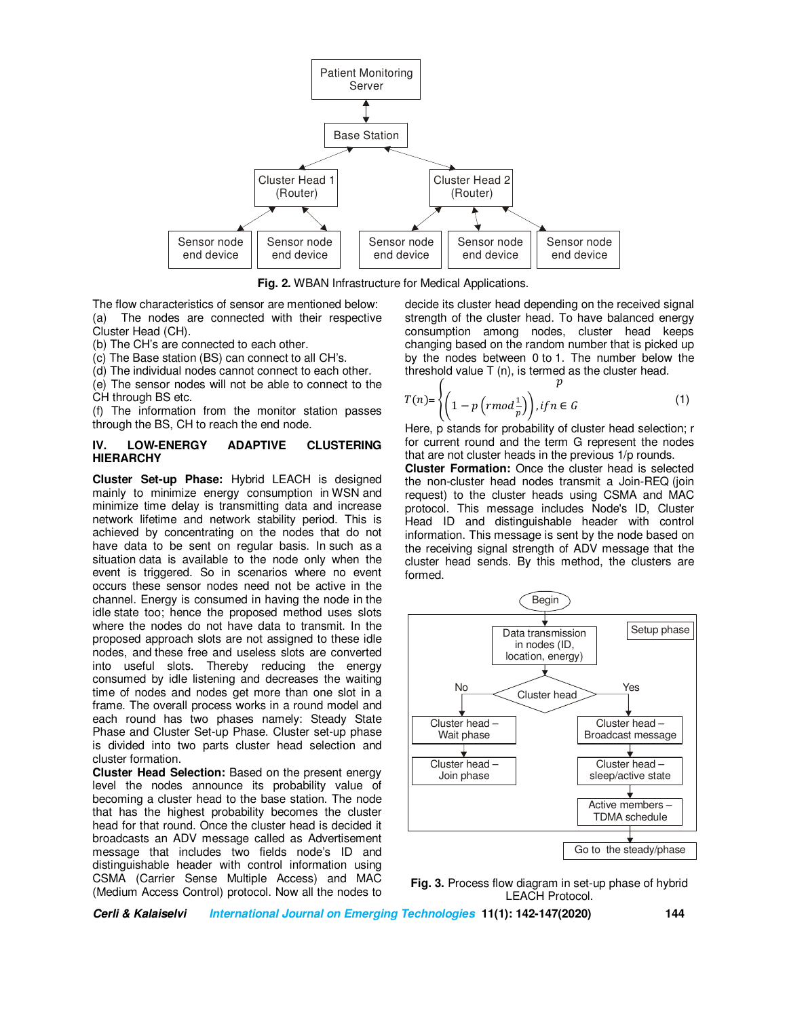

**Fig. 2.** WBAN Infrastructure for Medical Applications.

The flow characteristics of sensor are mentioned below: (a) The nodes are connected with their respective Cluster Head (CH).

(b) The CH's are connected to each other.

(c) The Base station (BS) can connect to all CH's.

(d) The individual nodes cannot connect to each other.

(e) The sensor nodes will not be able to connect to the CH through BS etc.

(f) The information from the monitor station passes through the BS, CH to reach the end node.

### **IV. LOW-ENERGY ADAPTIVE CLUSTERING HIERARCHY**

**Cluster Set-up Phase:** Hybrid LEACH is designed mainly to minimize energy consumption in WSN and minimize time delay is transmitting data and increase network lifetime and network stability period. This is achieved by concentrating on the nodes that do not have data to be sent on regular basis. In such as a situation data is available to the node only when the event is triggered. So in scenarios where no event occurs these sensor nodes need not be active in the channel. Energy is consumed in having the node in the idle state too; hence the proposed method uses slots where the nodes do not have data to transmit. In the proposed approach slots are not assigned to these idle nodes, and these free and useless slots are converted into useful slots. Thereby reducing the energy consumed by idle listening and decreases the waiting time of nodes and nodes get more than one slot in a frame. The overall process works in a round model and each round has two phases namely: Steady State Phase and Cluster Set-up Phase. Cluster set-up phase is divided into two parts cluster head selection and cluster formation.

**Cluster Head Selection:** Based on the present energy level the nodes announce its probability value of becoming a cluster head to the base station. The node that has the highest probability becomes the cluster head for that round. Once the cluster head is decided it broadcasts an ADV message called as Advertisement message that includes two fields node's ID and distinguishable header with control information using CSMA (Carrier Sense Multiple Access) and MAC (Medium Access Control) protocol. Now all the nodes to

decide its cluster head depending on the received signal strength of the cluster head. To have balanced energy consumption among nodes, cluster head keeps changing based on the random number that is picked up by the nodes between 0 to 1. The number below the threshold value T (n), is termed as the cluster head.  $\boldsymbol{\eta}$ 

$$
T(n) = \left\{ \left( 1 - p\left(rmod\frac{1}{p}\right)\right), if n \in G \right\}
$$
\n<sup>(1)</sup>

Here, p stands for probability of cluster head selection; r for current round and the term G represent the nodes that are not cluster heads in the previous 1/p rounds.

**Cluster Formation:** Once the cluster head is selected the non-cluster head nodes transmit a Join-REQ (join request) to the cluster heads using CSMA and MAC protocol. This message includes Node's ID, Cluster Head ID and distinguishable header with control information. This message is sent by the node based on the receiving signal strength of ADV message that the cluster head sends. By this method, the clusters are formed.



**Fig. 3.** Process flow diagram in set-up phase of hybrid LEACH Protocol.

**Cerli & Kalaiselvi International Journal on Emerging Technologies 11(1): 142-147(2020) 144**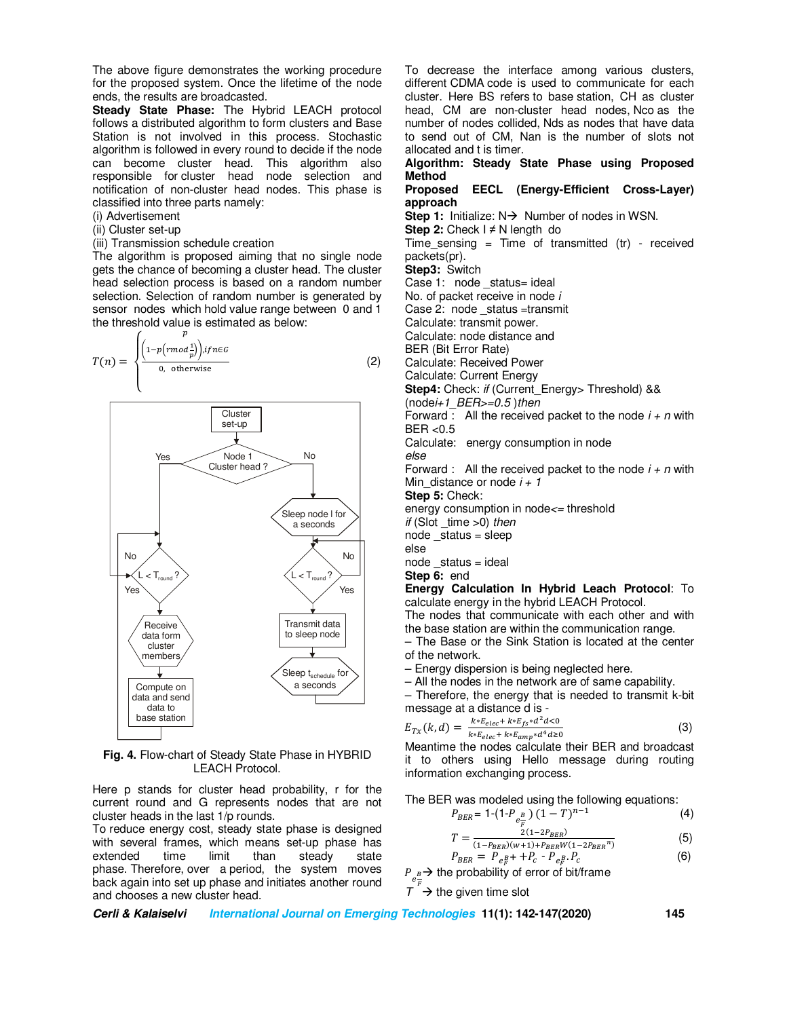The above figure demonstrates the working procedure for the proposed system. Once the lifetime of the node ends, the results are broadcasted.

**Steady State Phase:** The Hybrid LEACH protocol follows a distributed algorithm to form clusters and Base Station is not involved in this process. Stochastic algorithm is followed in every round to decide if the node can become cluster head. This algorithm also responsible for cluster head node selection and notification of non-cluster head nodes. This phase is classified into three parts namely:

- (i) Advertisement
- (ii) Cluster set-up
- (iii) Transmission schedule creation

The algorithm is proposed aiming that no single node gets the chance of becoming a cluster head. The cluster head selection process is based on a random number selection. Selection of random number is generated by sensor nodes which hold value range between 0 and 1 the threshold value is estimated as below:





**Fig. 4.** Flow-chart of Steady State Phase in HYBRID LEACH Protocol.

Here p stands for cluster head probability, r for the current round and G represents nodes that are not cluster heads in the last 1/p rounds.

To reduce energy cost, steady state phase is designed with several frames, which means set-up phase has<br>extended time limit than steady state extended time limit than steady state phase. Therefore, over a period, the system moves back again into set up phase and initiates another round and chooses a new cluster head.

To decrease the interface among various clusters, different CDMA code is used to communicate for each cluster. Here BS refers to base station, CH as cluster head, CM are non-cluster head nodes, Nco as the number of nodes collided, Nds as nodes that have data to send out of CM, Nan is the number of slots not allocated and t is timer.

### **Algorithm: Steady State Phase using Proposed Method**

### **Proposed EECL (Energy-Efficient Cross-Layer) approach**

**Step 1:** Initialize:  $N \rightarrow$  Number of nodes in WSN.

**Step 2:** Check I ≠ N length do

Time sensing = Time of transmitted (tr) - received packets(pr).

**Step3:** Switch

Case 1: node \_status= ideal

No. of packet receive in node *i*

Case 2: node status =transmit

Calculate: transmit power.

Calculate: node distance and

BER (Bit Error Rate)

Calculate: Received Power

Calculate: Current Energy

**Step4:** Check: *if* (Current\_Energy> Threshold) &&

(node*i+1\_BER>=0.5* )*then* 

Forward : All the received packet to the node *i + n* with  $BER < 0.5$ 

Calculate: energy consumption in node

*else*

Forward : All the received packet to the node *i + n* with Min distance or node  $i + 1$ 

**Step 5:** Check:

energy consumption in node*<=* threshold

*if* (Slot \_time >0) *then* 

 $node$  status = sleep

else

 $node$  status = ideal

**Step 6:** end

**Energy Calculation In Hybrid Leach Protocol**: To calculate energy in the hybrid LEACH Protocol.

The nodes that communicate with each other and with the base station are within the communication range.

– The Base or the Sink Station is located at the center of the network.

- Energy dispersion is being neglected here.
- All the nodes in the network are of same capability.

– Therefore, the energy that is needed to transmit k-bit message at a distance d is -

$$
E_{Tx}(k,d) = \frac{k * E_{elec} + k * E_{fs} * d^2 d < 0}{k * E_{elec} + k * E_{amp} * d^4 d \geq 0} \tag{3}
$$

Meantime the nodes calculate their BER and broadcast it to others using Hello message during routing information exchanging process.

The BER was modeled using the following equations:

$$
P_{BER} = 1 - (1 - P_{e\frac{B}{F}}) (1 - T)^{n-1}
$$
 (4)

$$
T = \frac{2(1 - 2P_{BER})}{(1 - P_{BER})(w + 1) + P_{BER}W(1 - 2P_{BER}^n)}
$$
(5)

$$
P_{BER} = P_{e_F^B} + P_c - P_{e_F^B} P_c \tag{6}
$$

 $P_{e^{\frac{B}{r}}}$  the probability of error of bit/frame

 $T \stackrel{F}{\rightarrow}$  the given time slot

**Cerli & Kalaiselvi International Journal on Emerging Technologies 11(1): 142-147(2020) 145**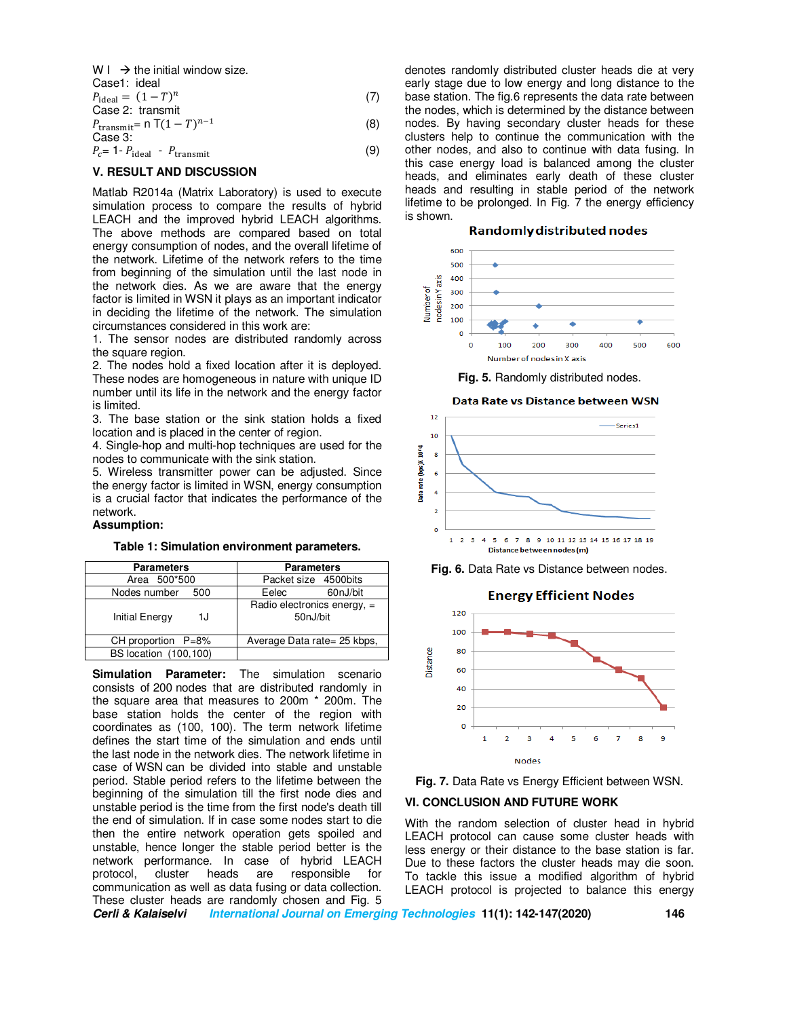$W I \rightarrow$  the initial window size.

Case1: ideal  
\n
$$
P_{\text{ideal}} = (1 - T)^n
$$
\nCase 2: transmit  
\n
$$
P_{\text{transmit}} = n \, T(1 - T)^{n-1}
$$
\nCase 3:  
\n
$$
P_c = 1 - P_{\text{ideal}} - P_{\text{transmit}}
$$
\n(9)

#### **V. RESULT AND DISCUSSION**

Matlab R2014a (Matrix Laboratory) is used to execute simulation process to compare the results of hybrid LEACH and the improved hybrid LEACH algorithms. The above methods are compared based on total energy consumption of nodes, and the overall lifetime of the network. Lifetime of the network refers to the time from beginning of the simulation until the last node in the network dies. As we are aware that the energy factor is limited in WSN it plays as an important indicator in deciding the lifetime of the network. The simulation circumstances considered in this work are:

1. The sensor nodes are distributed randomly across the square region.

2. The nodes hold a fixed location after it is deployed. These nodes are homogeneous in nature with unique ID number until its life in the network and the energy factor is limited.

3. The base station or the sink station holds a fixed location and is placed in the center of region.

4. Single-hop and multi-hop techniques are used for the nodes to communicate with the sink station.

5. Wireless transmitter power can be adjusted. Since the energy factor is limited in WSN, energy consumption is a crucial factor that indicates the performance of the network.

### **Assumption:**

#### **Table 1: Simulation environment parameters.**

| <b>Parameters</b>            | <b>Parameters</b>                         |
|------------------------------|-------------------------------------------|
| Area 500*500                 | Packet size 4500 bits                     |
| Nodes number<br>500          | Eelec<br>60nJ/bit                         |
| <b>Initial Energy</b><br>1J  | Radio electronics energy, $=$<br>50nJ/bit |
| CH proportion $P=8%$         | Average Data rate= 25 kbps,               |
| <b>BS</b> location (100,100) |                                           |

**Simulation Parameter:** The simulation scenario consists of 200 nodes that are distributed randomly in the square area that measures to 200m \* 200m. The base station holds the center of the region with coordinates as (100, 100). The term network lifetime defines the start time of the simulation and ends until the last node in the network dies. The network lifetime in case of WSN can be divided into stable and unstable period. Stable period refers to the lifetime between the beginning of the simulation till the first node dies and unstable period is the time from the first node's death till the end of simulation. If in case some nodes start to die then the entire network operation gets spoiled and unstable, hence longer the stable period better is the network performance. In case of hybrid LEACH protocol, cluster heads are responsible for communication as well as data fusing or data collection. These cluster heads are randomly chosen and Fig. 5

denotes randomly distributed cluster heads die at very early stage due to low energy and long distance to the base station. The fig.6 represents the data rate between the nodes, which is determined by the distance between nodes. By having secondary cluster heads for these clusters help to continue the communication with the other nodes, and also to continue with data fusing. In this case energy load is balanced among the cluster heads, and eliminates early death of these cluster heads and resulting in stable period of the network lifetime to be prolonged. In Fig. 7 the energy efficiency is shown.

#### **Randomly distributed nodes**



**Fig. 5. Randomly distributed nodes.** 



**Fig. 6.** Data Rate vs Distance between nodes.

#### **Energy Efficient Nodes**



**Fig. 7.** Data Rate vs Energy Efficient between WSN.

## **VI. CONCLUSION AND FUTURE WORK**

With the random selection of cluster head in hybrid LEACH protocol can cause some cluster heads with less energy or their distance to the base station is far. Due to these factors the cluster heads may die soon. To tackle this issue a modified algorithm of hybrid LEACH protocol is projected to balance this energy

**Cerli & Kalaiselvi International Journal on Emerging Technologies 11(1): 142-147(2020) 146**